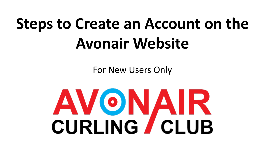# **Steps to Create an Account on the Avonair Website**

For New Users Only

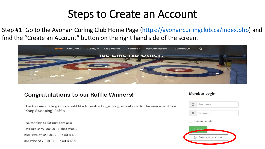Step #1: Go to the Avonair Curling Club Home Page ([https://avonaircurlingclub.ca/index.php\)](https://avonaircurlingclub.ca/index.php) and find the "Create an Account" button on the right hand side of the screen.



#### Congratulations to our Raffle Winners!

The Avonair Curling Club would like to wish a huge congratulations to the winners of our "Keep Sweeping" Raffle!

The winning ticket numbers are: 1st Prize of \$6,500.00 - Ticket #0330 2nd Prize of \$2,500.00 - Ticket #1031

3rd Prize of \$1000.00 - Ticket #1209

#### **Member Login**

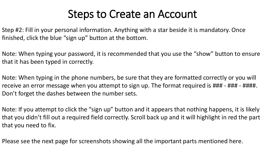Step #2: Fill in your personal information. Anything with a star beside it is mandatory. Once finished, click the blue "sign up" button at the bottom.

Note: When typing your password, it is recommended that you use the "show" button to ensure that it has been typed in correctly.

Note: When typing in the phone numbers, be sure that they are formatted correctly or you will receive an error message when you attempt to sign up. The format required is ### - ### - ####. Don't forget the dashes between the number sets.

Note: If you attempt to click the "sign up" button and it appears that nothing happens, it is likely that you didn't fill out a required field correctly. Scroll back up and it will highlight in red the part that you need to fix.

Please see the next page for screenshots showing all the important parts mentioned here.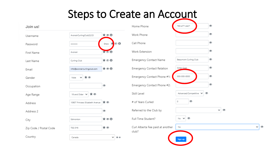

 $\vee$   $\circ$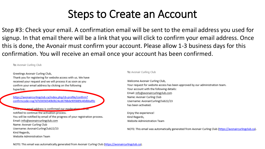Step #3: Check your email. A confirmation email will be sent to the email address you used for signup. In that email there will be a link that you will click to confirm your email address. Once this is done, the Avonair must confirm your account. Please allow 1-3 business days for this confirmation. You will receive an email once your account has been confirmed.

To: Avonair Curling Club

Greetings Avonair Curling Club,

Thank you for registering for website access with us. We have received your request and we will process it as soon as you confirm your email address by clicking on the following hyperlink:

https://avonaircurlingclub.ca/index.php/cb-profile/confirm? confirmcode=reg7d7d3656540b0b24cd6788de905889c40dbbaf0c

Once pays email address is confirmed our moderators will be notified to continue the activation process. You will be notified by email of the progress of your registration process. Email: info@avonaircurlingclub.com Name: Avonair Curling Club Username: AvonairCurlingClub22/23 Kind Regards, Website Administration Team

#### To: Avonair Curling Club

Welcome Avonair Curling Club, Your request for website access has been approved by our administration team. Your account with the following details: Email: info@avonaircurlingclub.com Name: Avonair Curling Club Username: AvonairCurlingClub22/23 has been activated.

Enjoy the experience! Kind Regards, Website Administration Team

NOTE: This email was automatically generated from Avonair Curling Club (https://avonaircurlingclub.ca).

NOTE: This email was automatically generated from Avonair Curling Club (https://avonaircurlingclub.ca).